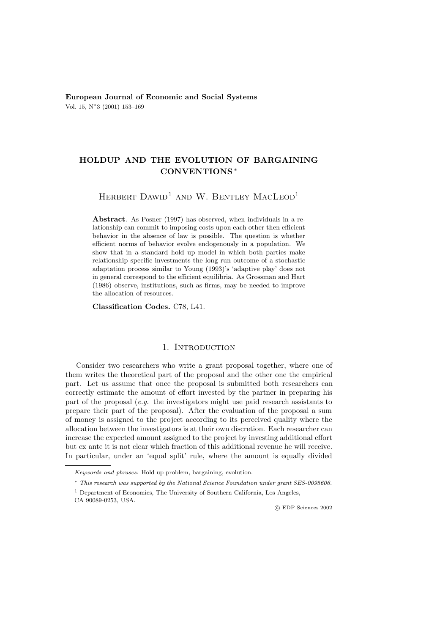**European Journal of Economic and Social Systems** Vol. 15, N◦3 (2001) 153–169

## **HOLDUP AND THE EVOLUTION OF BARGAINING CONVENTIONS** ∗

# HERBERT DAWID<sup>1</sup> AND W. BENTLEY MACLEOD<sup>1</sup>

**Abstract**. As Posner (1997) has observed, when individuals in a relationship can commit to imposing costs upon each other then efficient behavior in the absence of law is possible. The question is whether efficient norms of behavior evolve endogenously in a population. We show that in a standard hold up model in which both parties make relationship specific investments the long run outcome of a stochastic adaptation process similar to Young (1993)'s 'adaptive play' does not in general correspond to the efficient equilibria. As Grossman and Hart (1986) observe, institutions, such as firms, may be needed to improve the allocation of resources.

**Classification Codes.** C78, L41.

## 1. INTRODUCTION

Consider two researchers who write a grant proposal together, where one of them writes the theoretical part of the proposal and the other one the empirical part. Let us assume that once the proposal is submitted both researchers can correctly estimate the amount of effort invested by the partner in preparing his part of the proposal (*e.g.* the investigators might use paid research assistants to prepare their part of the proposal). After the evaluation of the proposal a sum of money is assigned to the project according to its perceived quality where the allocation between the investigators is at their own discretion. Each researcher can increase the expected amount assigned to the project by investing additional effort but ex ante it is not clear which fraction of this additional revenue he will receive. In particular, under an 'equal split' rule, where the amount is equally divided

c EDP Sciences 2002

Keywords and phrases: Hold up problem, bargaining, evolution.

<sup>∗</sup> This research was supported by the National Science Foundation under grant SES-0095606.

<sup>1</sup> Department of Economics, The University of Southern California, Los Angeles,

CA 90089-0253, USA.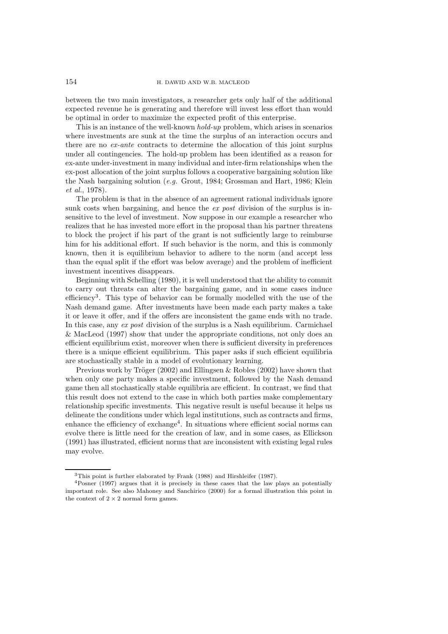#### 154 H. DAWID AND W.B. MACLEOD

between the two main investigators, a researcher gets only half of the additional expected revenue he is generating and therefore will invest less effort than would be optimal in order to maximize the expected profit of this enterprise.

This is an instance of the well-known *hold-up* problem, which arises in scenarios where investments are sunk at the time the surplus of an interaction occurs and there are no *ex-ante* contracts to determine the allocation of this joint surplus under all contingencies. The hold-up problem has been identified as a reason for ex-ante under-investment in many individual and inter-firm relationships when the ex-post allocation of the joint surplus follows a cooperative bargaining solution like the Nash bargaining solution (*e.g.* Grout, 1984; Grossman and Hart, 1986; Klein *et al.*, 1978).

The problem is that in the absence of an agreement rational individuals ignore sunk costs when bargaining, and hence the *ex post* division of the surplus is insensitive to the level of investment. Now suppose in our example a researcher who realizes that he has invested more effort in the proposal than his partner threatens to block the project if his part of the grant is not sufficiently large to reimburse him for his additional effort. If such behavior is the norm, and this is commonly known, then it is equilibrium behavior to adhere to the norm (and accept less than the equal split if the effort was below average) and the problem of inefficient investment incentives disappears.

Beginning with Schelling (1980), it is well understood that the ability to commit to carry out threats can alter the bargaining game, and in some cases induce efficiency<sup>3</sup>. This type of behavior can be formally modelled with the use of the Nash demand game. After investments have been made each party makes a take it or leave it offer, and if the offers are inconsistent the game ends with no trade. In this case, any *ex post* division of the surplus is a Nash equilibrium. Carmichael & MacLeod (1997) show that under the appropriate conditions, not only does an efficient equilibrium exist, moreover when there is sufficient diversity in preferences there is a unique efficient equilibrium. This paper asks if such efficient equilibria are stochastically stable in a model of evolutionary learning.

Previous work by Tröger (2002) and Ellingsen  $\&$  Robles (2002) have shown that when only one party makes a specific investment, followed by the Nash demand game then all stochastically stable equilibria are efficient. In contrast, we find that this result does not extend to the case in which both parties make complementary relationship specific investments. This negative result is useful because it helps us delineate the conditions under which legal institutions, such as contracts and firms, enhance the efficiency of exchange<sup>4</sup>. In situations where efficient social norms can evolve there is little need for the creation of law, and in some cases, as Ellickson (1991) has illustrated, efficient norms that are inconsistent with existing legal rules may evolve.

<sup>3</sup>This point is further elaborated by Frank (1988) and Hirshleifer (1987).

<sup>4</sup>Posner (1997) argues that it is precisely in these cases that the law plays an potentially important role. See also Mahoney and Sanchirico (2000) for a formal illustration this point in the context of  $2 \times 2$  normal form games.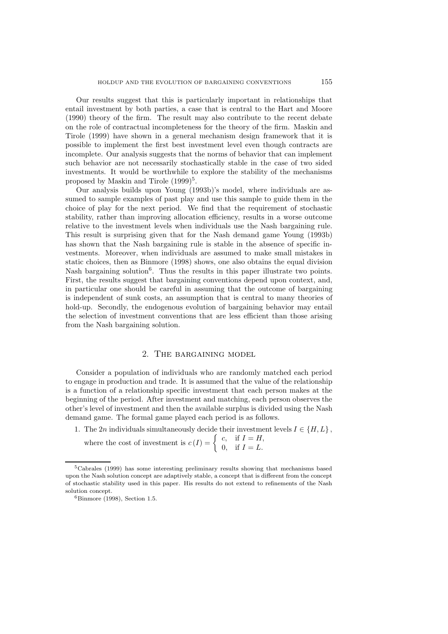Our results suggest that this is particularly important in relationships that entail investment by both parties, a case that is central to the Hart and Moore (1990) theory of the firm. The result may also contribute to the recent debate on the role of contractual incompleteness for the theory of the firm. Maskin and Tirole (1999) have shown in a general mechanism design framework that it is possible to implement the first best investment level even though contracts are incomplete. Our analysis suggests that the norms of behavior that can implement such behavior are not necessarily stochastically stable in the case of two sided investments. It would be worthwhile to explore the stability of the mechanisms proposed by Maskin and Tirole  $(1999)^5$ .

Our analysis builds upon Young (1993b)'s model, where individuals are assumed to sample examples of past play and use this sample to guide them in the choice of play for the next period. We find that the requirement of stochastic stability, rather than improving allocation efficiency, results in a worse outcome relative to the investment levels when individuals use the Nash bargaining rule. This result is surprising given that for the Nash demand game Young (1993b) has shown that the Nash bargaining rule is stable in the absence of specific investments. Moreover, when individuals are assumed to make small mistakes in static choices, then as Binmore (1998) shows, one also obtains the equal division Nash bargaining solution<sup>6</sup>. Thus the results in this paper illustrate two points. First, the results suggest that bargaining conventions depend upon context, and, in particular one should be careful in assuming that the outcome of bargaining is independent of sunk costs, an assumption that is central to many theories of hold-up. Secondly, the endogenous evolution of bargaining behavior may entail the selection of investment conventions that are less efficient than those arising from the Nash bargaining solution.

## 2. The bargaining model

Consider a population of individuals who are randomly matched each period to engage in production and trade. It is assumed that the value of the relationship is a function of a relationship specific investment that each person makes at the beginning of the period. After investment and matching, each person observes the other's level of investment and then the available surplus is divided using the Nash demand game. The formal game played each period is as follows.

1. The 2n individuals simultaneously decide their investment levels  $I \in \{H, L\}$ , where the cost of investment is  $c(I) = \begin{cases} c, & \text{if } I = H, \\ 0, & \text{if } I = L. \end{cases}$ 

<sup>5</sup>Cabrales (1999) has some interesting preliminary results showing that mechanisms based upon the Nash solution concept are adaptively stable, a concept that is different from the concept of stochastic stability used in this paper. His results do not extend to refinements of the Nash solution concept.

 $6$ Binmore (1998), Section 1.5.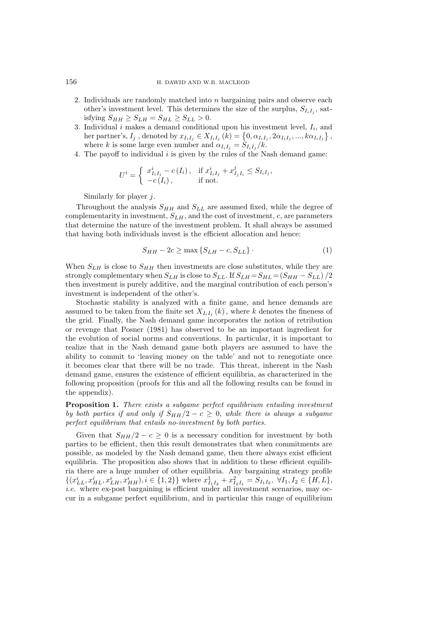- 2. Individuals are randomly matched into  $n$  bargaining pairs and observe each other's investment level. This determines the size of the surplus,  $S_{I_iI_j}$ , satisfying  $S_{HH} \geq S_{LH} = S_{HL} \geq S_{LL} > 0$ .
- 3. Individual  $i$  makes a demand conditional upon his investment level,  $I_i$ , and her partner's,  $I_j$ , denoted by  $x_{I_iI_j} \in X_{I_iI_j} (k) = \{0, \alpha_{I_iI_j}, 2\alpha_{I_iI_j}, ..., k\alpha_{I_iI_j}\},$ where k is some large even number and  $\alpha_{I_i} = S_{I_i}I_i / k$ .
- 4. The payoff to individual  $i$  is given by the rules of the Nash demand game:

$$
U^{i} = \begin{cases} x_{I_{i}I_{j}}^{i} - c(I_{i}), & \text{if } x_{I_{i}I_{j}}^{i} + x_{I_{j}I_{i}}^{j} \le S_{I_{i}I_{j}}, \\ -c(I_{i}), & \text{if not.} \end{cases}
$$

Similarly for player  $j$ .

Throughout the analysis  $S_{HH}$  and  $S_{LL}$  are assumed fixed, while the degree of complementarity in investment,  $S_{LH}$ , and the cost of investment,  $c$ , are parameters that determine the nature of the investment problem. It shall always be assumed that having both individuals invest is the efficient allocation and hence:

$$
S_{HH} - 2c \ge \max \left\{ S_{LH} - c, S_{LL} \right\} \tag{1}
$$

When  $S_{LH}$  is close to  $S_{HH}$  then investments are close substitutes, while they are strongly complementary when  $S_{LH}$  is close to  $S_{LL}$ . If  $S_{LH} = S_{HL} = (S_{HH} - S_{LL})/2$ then investment is purely additive, and the marginal contribution of each person's investment is independent of the other's.

Stochastic stability is analyzed with a finite game, and hence demands are assumed to be taken from the finite set  $X_{I_i}$   $(k)$ , where k denotes the fineness of the grid. Finally, the Nash demand game incorporates the notion of retribution or revenge that Posner (1981) has observed to be an important ingredient for the evolution of social norms and conventions. In particular, it is important to realize that in the Nash demand game both players are assumed to have the ability to commit to 'leaving money on the table' and not to renegotiate once it becomes clear that there will be no trade. This threat, inherent in the Nash demand game, ensures the existence of efficient equilibria, as characterized in the following proposition (proofs for this and all the following results can be found in the appendix).

**Proposition 1.** *There exists a subgame perfect equilibrium entailing investment by both parties if and only if*  $S_{HH}/2 - c \geq 0$ , *while there is always a subgame perfect equilibrium that entails no-investment by both parties.*

Given that  $S_{HH}/2 - c \geq 0$  is a necessary condition for investment by both parties to be efficient, then this result demonstrates that when commitments are possible, as modeled by the Nash demand game, then there always exist efficient equilibria. The proposition also shows that in addition to these efficient equilibria there are a huge number of other equilibria. Any bargaining strategy profile  $\{(x_{LL}^i, x_{HL}^i, x_{LH}^i, x_{HH}^i), i \in \{1,2\}\}\$  where  $x_{I_1I_2}^1 + x_{I_2I_1}^2 = S_{I_1I_2}, \ \forall I_1, I_2 \in \{H, L\},\$ *i.e.* where ex-post bargaining is efficient under all investment scenarios, may occur in a subgame perfect equilibrium, and in particular this range of equilibrium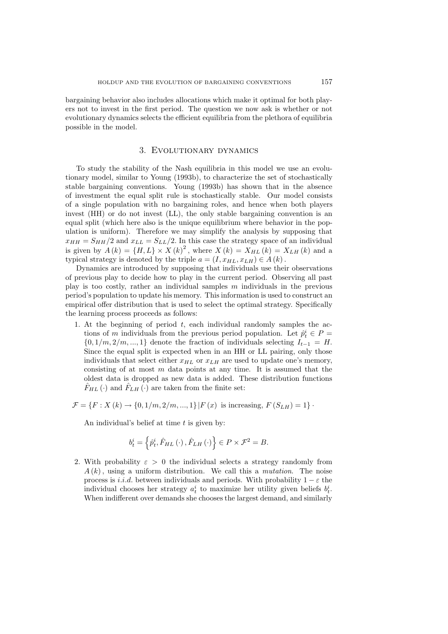bargaining behavior also includes allocations which make it optimal for both players not to invest in the first period. The question we now ask is whether or not evolutionary dynamics selects the efficient equilibria from the plethora of equilibria possible in the model.

#### 3. Evolutionary dynamics

To study the stability of the Nash equilibria in this model we use an evolutionary model, similar to Young (1993b), to characterize the set of stochastically stable bargaining conventions. Young (1993b) has shown that in the absence of investment the equal split rule is stochastically stable. Our model consists of a single population with no bargaining roles, and hence when both players invest (HH) or do not invest (LL), the only stable bargaining convention is an equal split (which here also is the unique equilibrium where behavior in the population is uniform). Therefore we may simplify the analysis by supposing that  $x_{HH} = S_{HH}/2$  and  $x_{LL} = S_{LL}/2$ . In this case the strategy space of an individual is given by  $A(k) = {H, L} \times X(k)^{2}$ , where  $X(k) = X_{HL}(k) = X_{LH}(k)$  and a typical strategy is denoted by the triple  $a = (I, x_{HL}, x_{LH}) \in A(k)$ .

Dynamics are introduced by supposing that individuals use their observations of previous play to decide how to play in the current period. Observing all past play is too costly, rather an individual samples  $m$  individuals in the previous period's population to update his memory. This information is used to construct an empirical offer distribution that is used to select the optimal strategy. Specifically the learning process proceeds as follows:

1. At the beginning of period  $t$ , each individual randomly samples the actions of m individuals from the previous period population. Let  $\hat{p}_t^i \in P =$  $\{0, 1/m, 2/m, ..., 1\}$  denote the fraction of individuals selecting  $I_{t-1} = H$ . Since the equal split is expected when in an HH or LL pairing, only those individuals that select either  $x_{HL}$  or  $x_{LH}$  are used to update one's memory, consisting of at most  $m$  data points at any time. It is assumed that the oldest data is dropped as new data is added. These distribution functions  $F_{HL}(\cdot)$  and  $F_{LH}(\cdot)$  are taken from the finite set:

$$
\mathcal{F} = \{F : X(k) \to \{0, 1/m, 2/m, ..., 1\} | F(x) \text{ is increasing, } F(S_{LH}) = 1\}.
$$

An individual's belief at time  $t$  is given by:

$$
b_t^i = \left\{\hat{p}_t^i, \hat{F}_{HL}\left(\cdot\right), \hat{F}_{LH}\left(\cdot\right) \right\} \in P \times \mathcal{F}^2 = B.
$$

2. With probability  $\varepsilon > 0$  the individual selects a strategy randomly from A (k), using a uniform distribution. We call this a *mutation*. The noise process is *i.i.d.* between individuals and periods. With probability  $1 - \varepsilon$  the individual chooses her strategy  $a_t^i$  to maximize her utility given beliefs  $b_t^i$ . When indifferent over demands she chooses the largest demand, and similarly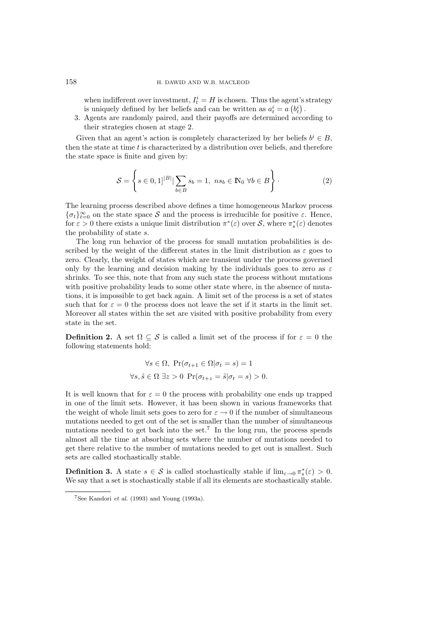#### 158 H. DAWID AND W.B. MACLEOD

when indifferent over investment,  $I_t^i = H$  is chosen. Thus the agent's strategy is uniquely defined by her beliefs and can be written as  $a_t^i = a\left(b_t^i\right)$ .

3. Agents are randomly paired, and their payoffs are determined according to their strategies chosen at stage 2.

Given that an agent's action is completely characterized by her beliefs  $b^i \in B$ , then the state at time  $t$  is characterized by a distribution over beliefs, and therefore the state space is finite and given by:

$$
S = \left\{ s \in [0,1]^{|B|} | \sum_{b \in B} s_b = 1, \ n s_b \in \mathbb{N}_0 \ \forall b \in B \right\}.
$$
 (2)

The learning process described above defines a time homogeneous Markov process  $\{\sigma_t\}_{t=0}^{\infty}$  on the state space S and the process is irreducible for positive  $\varepsilon$ . Hence, for  $\varepsilon > 0$  there exists a unique limit distribution  $\pi^*(\varepsilon)$  over S, where  $\pi_s^*(\varepsilon)$  denotes the probability of state s.

The long run behavior of the process for small mutation probabilities is described by the weight of the different states in the limit distribution as  $\varepsilon$  goes to zero. Clearly, the weight of states which are transient under the process governed only by the learning and decision making by the individuals goes to zero as  $\varepsilon$ shrinks. To see this, note that from any such state the process without mutations with positive probability leads to some other state where, in the absence of mutations, it is impossible to get back again. A limit set of the process is a set of states such that for  $\varepsilon = 0$  the process does not leave the set if it starts in the limit set. Moreover all states within the set are visited with positive probability from every state in the set.

**Definition 2.** A set  $\Omega \subseteq \mathcal{S}$  is called a limit set of the process if for  $\varepsilon = 0$  the following statements hold:

$$
\forall s \in \Omega, \Pr(\sigma_{t+1} \in \Omega | \sigma_t = s) = 1
$$
  

$$
\forall s, \tilde{s} \in \Omega \exists z > 0 \Pr(\sigma_{t+z} = \tilde{s} | \sigma_t = s) > 0.
$$

It is well known that for  $\varepsilon = 0$  the process with probability one ends up trapped in one of the limit sets. However, it has been shown in various frameworks that the weight of whole limit sets goes to zero for  $\varepsilon \to 0$  if the number of simultaneous mutations needed to get out of the set is smaller than the number of simultaneous mutations needed to get back into the set.<sup>7</sup> In the long run, the process spends almost all the time at absorbing sets where the number of mutations needed to get there relative to the number of mutations needed to get out is smallest. Such sets are called stochastically stable.

**Definition 3.** A state  $s \in \mathcal{S}$  is called stochastically stable if  $\lim_{\varepsilon \to 0} \pi_s^*(\varepsilon) > 0$ . We say that a set is stochastically stable if all its elements are stochastically stable.

 $7$ See Kandori *et al.* (1993) and Young (1993a).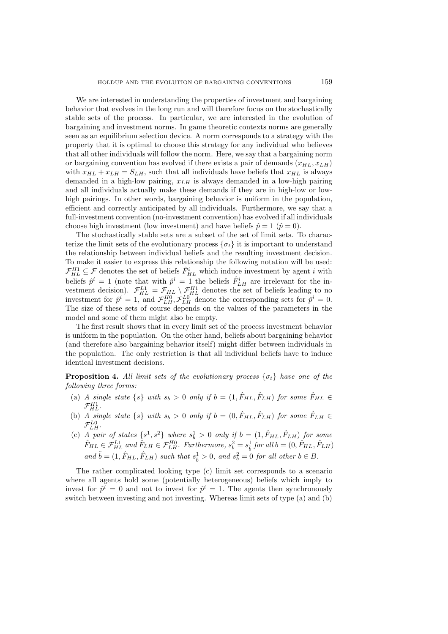We are interested in understanding the properties of investment and bargaining behavior that evolves in the long run and will therefore focus on the stochastically stable sets of the process. In particular, we are interested in the evolution of bargaining and investment norms. In game theoretic contexts norms are generally seen as an equilibrium selection device. A norm corresponds to a strategy with the property that it is optimal to choose this strategy for any individual who believes that all other individuals will follow the norm. Here, we say that a bargaining norm or bargaining convention has evolved if there exists a pair of demands  $(x_{HL}, x_{LH})$ with  $x_{HL} + x_{LH} = S_{LH}$ , such that all individuals have beliefs that  $x_{HL}$  is always demanded in a high-low pairing,  $x_{LH}$  is always demanded in a low-high pairing and all individuals actually make these demands if they are in high-low or lowhigh pairings. In other words, bargaining behavior is uniform in the population, efficient and correctly anticipated by all individuals. Furthermore, we say that a full-investment convention (no-investment convention) has evolved if all individuals choose high investment (low investment) and have beliefs  $\hat{p} = 1$  ( $\hat{p} = 0$ ).

The stochastically stable sets are a subset of the set of limit sets. To characterize the limit sets of the evolutionary process  $\{\sigma_t\}$  it is important to understand the relationship between individual beliefs and the resulting investment decision. To make it easier to express this relationship the following notation will be used:  $\mathcal{F}_{HL}^{H1} \subseteq \mathcal{F}$  denotes the set of beliefs  $\hat{F}_{HL}^i$  which induce investment by agent *i* with beliefs  $\hat{p}^i = 1$  (note that with  $\hat{p}^i = 1$  the beliefs  $\hat{F}_{LH}^i$  are irrelevant for the investment decision).  $\mathcal{F}_{HL}^{L1} = \mathcal{F}_{HL} \setminus \mathcal{F}_{HL}^{H1}$  denotes the set of beliefs leading to no investment for  $\hat{p}^i = 1$ , and  $\mathcal{F}_{LH}^{H0}, \mathcal{F}_{LH}^{L0}$  denote the corresponding sets for  $\hat{p}^i = 0$ . The size of these sets of course depends on the values of the parameters in the model and some of them might also be empty.

The first result shows that in every limit set of the process investment behavior is uniform in the population. On the other hand, beliefs about bargaining behavior (and therefore also bargaining behavior itself) might differ between individuals in the population. The only restriction is that all individual beliefs have to induce identical investment decisions.

**Proposition 4.** All limit sets of the evolutionary process  $\{\sigma_t\}$  have one of the *following three forms:*

- (a) *A* single state  $\{s\}$  with  $s_b > 0$  only if  $b = (1, \hat{F}_{HL}, \hat{F}_{LH})$  for some  $\hat{F}_{HL} \in$  $\mathcal{F}_{HL}^{H1}$ .
- (b) *A* single state  $\{s\}$  with  $s_b > 0$  only if  $b = (0, \hat{F}_{HL}, \hat{F}_{LH})$  for some  $\hat{F}_{LH} \in$  $\mathcal{F}_{LH}^{L0}$ .
- (c) *A pair of states*  $\{s^1, s^2\}$  *where*  $s_b^1 > 0$  *only if*  $b = (1, \hat{F}_{HL}, \hat{F}_{LH})$  *for some*  $\hat{F}_{HL} \in \mathcal{F}_{HL}^{L1}$  and  $\hat{F}_{LH} \in \mathcal{F}_{LH}^{H0}$ . Furthermore,  $s_b^2 = s_{\tilde{b}}^1$  for all  $b = (0, \hat{F}_{HL}, \hat{F}_{LH})$ *and*  $\tilde{b} = (1, \hat{F}_{HL}, \hat{F}_{LH})$  *such that*  $s_{\tilde{b}}^1 > 0$ *, and*  $s_b^2 = 0$  *for all other*  $b \in B$ *.*

The rather complicated looking type (c) limit set corresponds to a scenario where all agents hold some (potentially heterogeneous) beliefs which imply to invest for  $\hat{p}^i = 0$  and not to invest for  $\hat{p}^i = 1$ . The agents then synchronously switch between investing and not investing. Whereas limit sets of type (a) and (b)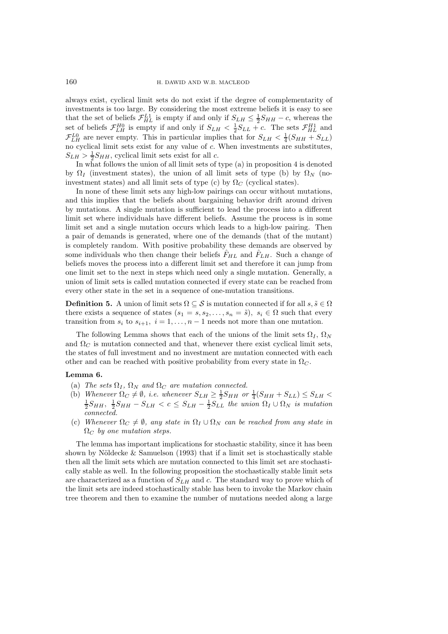always exist, cyclical limit sets do not exist if the degree of complementarity of investments is too large. By considering the most extreme beliefs it is easy to see that the set of beliefs  $\mathcal{F}_{HL}^{L1}$  is empty if and only if  $S_{LH} \leq \frac{1}{2}S_{HH} - c$ , whereas the set of beliefs  $\mathcal{F}_{LH}^{H0}$  is empty if and only if  $S_{LH} < \frac{1}{2}S_{LL} + c$ . The sets  $\mathcal{F}_{HL}^{H1}$  and  $\mathcal{F}_{LH}^{L0}$  are never empty. This in particular implies that for  $S_{LH} < \frac{1}{4}(S_{HH} + S_{LL})$ no cyclical limit sets exist for any value of  $c$ . When investments are substitutes,  $S_{LH} > \frac{1}{2} S_{HH}$ , cyclical limit sets exist for all c.

In what follows the union of all limit sets of type (a) in proposition 4 is denoted by  $\Omega_I$  (investment states), the union of all limit sets of type (b) by  $\Omega_N$  (noinvestment states) and all limit sets of type (c) by  $\Omega_C$  (cyclical states).

In none of these limit sets any high-low pairings can occur without mutations, and this implies that the beliefs about bargaining behavior drift around driven by mutations. A single mutation is sufficient to lead the process into a different limit set where individuals have different beliefs. Assume the process is in some limit set and a single mutation occurs which leads to a high-low pairing. Then a pair of demands is generated, where one of the demands (that of the mutant) is completely random. With positive probability these demands are observed by some individuals who then change their beliefs  $F_{HL}$  and  $F_{LH}$ . Such a change of beliefs moves the process into a different limit set and therefore it can jump from one limit set to the next in steps which need only a single mutation. Generally, a union of limit sets is called mutation connected if every state can be reached from every other state in the set in a sequence of one-mutation transitions.

**Definition 5.** A union of limit sets  $\Omega \subseteq \mathcal{S}$  is mutation connected if for all  $s, \tilde{s} \in \Omega$ there exists a sequence of states  $(s_1 = s, s_2, \ldots, s_n = \tilde{s}), s_i \in \Omega$  such that every transition from  $s_i$  to  $s_{i+1}$ ,  $i = 1, \ldots, n-1$  needs not more than one mutation.

The following Lemma shows that each of the unions of the limit sets  $\Omega_I$ ,  $\Omega_N$ and  $\Omega_{C}$  is mutation connected and that, whenever there exist cyclical limit sets, the states of full investment and no investment are mutation connected with each other and can be reached with positive probability from every state in  $\Omega_{\mathcal{C}}$ .

## **Lemma 6.**

- (a) *The sets*  $\Omega_I$ ,  $\Omega_N$  *and*  $\Omega_C$  *are mutation connected.*
- (b) *Whenever*  $\Omega_C \neq \emptyset$ , *i.e.* whenever  $S_{LH} \geq \frac{1}{2}S_{HH}$  or  $\frac{1}{4}(S_{HH} + S_{LL}) \leq S_{LH} < \frac{1}{2}S_{HH}$ ,  $\frac{1}{2}S_{HH} S_{LH} < c \leq S_{LH} \frac{1}{2}S_{LL}$  the union  $\Omega_I \cup \Omega_N$  is mutation *connected.*
- (c) *Whenever*  $\Omega_C \neq \emptyset$ , any state in  $\Omega_I \cup \Omega_N$  can be reached from any state in  $\Omega_{C}$  by one mutation steps.

The lemma has important implications for stochastic stability, since it has been shown by Nöldecke  $&$  Samuelson (1993) that if a limit set is stochastically stable then all the limit sets which are mutation connected to this limit set are stochastically stable as well. In the following proposition the stochastically stable limit sets are characterized as a function of  $S_{LH}$  and c. The standard way to prove which of the limit sets are indeed stochastically stable has been to invoke the Markov chain tree theorem and then to examine the number of mutations needed along a large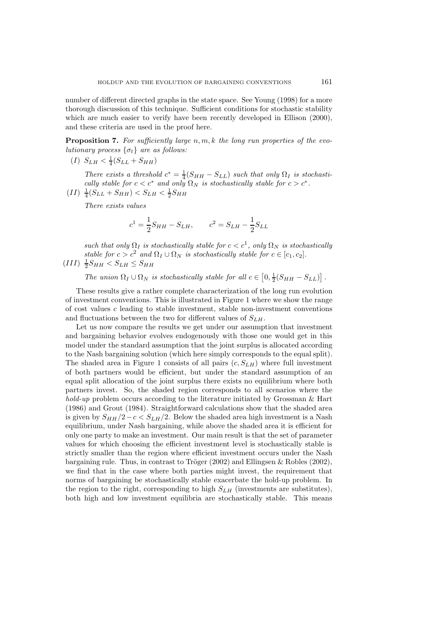number of different directed graphs in the state space. See Young (1998) for a more thorough discussion of this technique. Sufficient conditions for stochastic stability which are much easier to verify have been recently developed in Ellison (2000), and these criteria are used in the proof here.

**Proposition 7.** *For sufficiently large* n, m, k *the long run properties of the evolutionary process*  $\{\sigma_t\}$  *are as follows:* 

(I)  $S_{LH} < \frac{1}{4}(S_{LL} + S_{HH})$ 

*There exists a threshold*  $c^* = \frac{1}{4}(S_{HH} - S_{LL})$  *such that only*  $\Omega_I$  *is stochastically stable for*  $c < c^*$  *and only*  $\Omega_N$  *is stochastically stable for*  $c > c^*$ *.* 

 $(II)$   $\frac{1}{4}(S_{LL} + S_{HH}) < S_{LH} < \frac{1}{2}S_{HH}$ 

*There exists values*

$$
c^1 = \frac{1}{2}S_{HH} - S_{LH},
$$
  $c^2 = S_{LH} - \frac{1}{2}S_{LL}$ 

*such that only*  $\Omega_I$  *is stochastically stable for*  $c < c^1$ *, only*  $\Omega_N$  *is stochastically stable for*  $c > c^2$  *and*  $\Omega_I \cup \Omega_N$  *is stochastically stable for*  $c \in [c_1, c_2]$ *.* 

 $(III)$   $\frac{1}{2}S_{HH} < S_{LH} \leq S_{HH}$ 

*The union*  $\Omega_I \cup \Omega_N$  *is stochastically stable for all*  $c \in [0, \frac{1}{2}(S_{HH} - S_{LL})]$ .

These results give a rather complete characterization of the long run evolution of investment conventions. This is illustrated in Figure 1 where we show the range of cost values  $c$  leading to stable investment, stable non-investment conventions and fluctuations between the two for different values of  $S_{LH}$ .

Let us now compare the results we get under our assumption that investment and bargaining behavior evolves endogenously with those one would get in this model under the standard assumption that the joint surplus is allocated according to the Nash bargaining solution (which here simply corresponds to the equal split). The shaded area in Figure 1 consists of all pairs  $(c, S<sub>LLH</sub>)$  where full investment of both partners would be efficient, but under the standard assumption of an equal split allocation of the joint surplus there exists no equilibrium where both partners invest. So, the shaded region corresponds to all scenarios where the *hold-up* problem occurs according to the literature initiated by Grossman & Hart (1986) and Grout (1984). Straightforward calculations show that the shaded area is given by  $S_{HH}/2 - c < S_{LH}/2$ . Below the shaded area high investment is a Nash equilibrium, under Nash bargaining, while above the shaded area it is efficient for only one party to make an investment. Our main result is that the set of parameter values for which choosing the efficient investment level is stochastically stable is strictly smaller than the region where efficient investment occurs under the Nash bargaining rule. Thus, in contrast to Tröger  $(2002)$  and Ellingsen & Robles  $(2002)$ , we find that in the case where both parties might invest, the requirement that norms of bargaining be stochastically stable exacerbate the hold-up problem. In the region to the right, corresponding to high  $S_{LH}$  (investments are substitutes), both high and low investment equilibria are stochastically stable. This means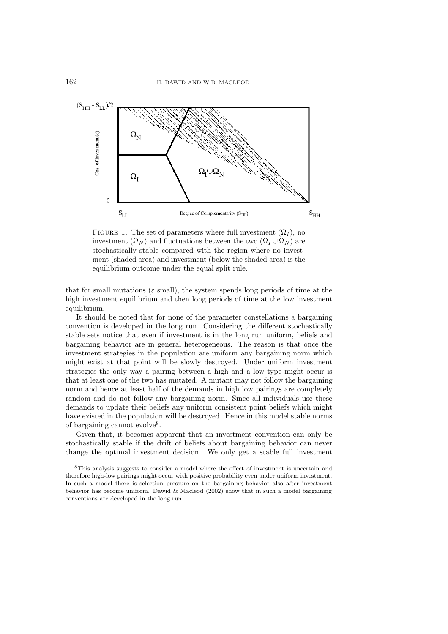

FIGURE 1. The set of parameters where full investment  $(\Omega_I)$ , no investment  $(\Omega_N)$  and fluctuations between the two  $(\Omega_I \cup \Omega_N)$  are stochastically stable compared with the region where no investment (shaded area) and investment (below the shaded area) is the equilibrium outcome under the equal split rule.

that for small mutations ( $\varepsilon$  small), the system spends long periods of time at the high investment equilibrium and then long periods of time at the low investment equilibrium.

It should be noted that for none of the parameter constellations a bargaining convention is developed in the long run. Considering the different stochastically stable sets notice that even if investment is in the long run uniform, beliefs and bargaining behavior are in general heterogeneous. The reason is that once the investment strategies in the population are uniform any bargaining norm which might exist at that point will be slowly destroyed. Under uniform investment strategies the only way a pairing between a high and a low type might occur is that at least one of the two has mutated. A mutant may not follow the bargaining norm and hence at least half of the demands in high low pairings are completely random and do not follow any bargaining norm. Since all individuals use these demands to update their beliefs any uniform consistent point beliefs which might have existed in the population will be destroyed. Hence in this model stable norms of bargaining cannot evolve<sup>8</sup>.

Given that, it becomes apparent that an investment convention can only be stochastically stable if the drift of beliefs about bargaining behavior can never change the optimal investment decision. We only get a stable full investment

<sup>8</sup>This analysis suggests to consider a model where the effect of investment is uncertain and therefore high-low pairings might occur with positive probability even under uniform investment. In such a model there is selection pressure on the bargaining behavior also after investment behavior has become uniform. Dawid  $&$  Macleod (2002) show that in such a model bargaining conventions are developed in the long run.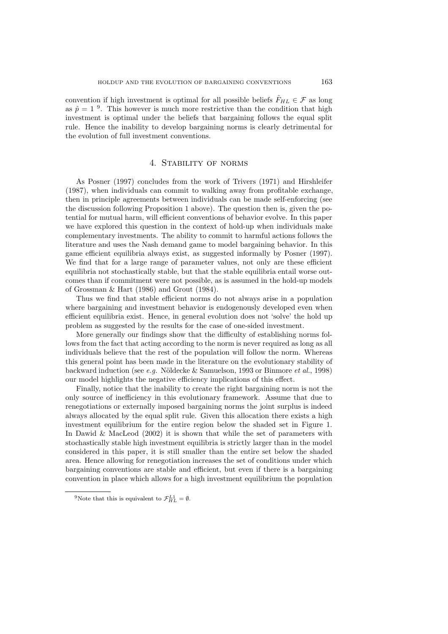convention if high investment is optimal for all possible beliefs  $F_{HL} \in \mathcal{F}$  as long as  $\hat{p} = 1$  <sup>9</sup>. This however is much more restrictive than the condition that high investment is optimal under the beliefs that bargaining follows the equal split rule. Hence the inability to develop bargaining norms is clearly detrimental for the evolution of full investment conventions.

## 4. Stability of norms

As Posner (1997) concludes from the work of Trivers (1971) and Hirshleifer (1987), when individuals can commit to walking away from profitable exchange, then in principle agreements between individuals can be made self-enforcing (see the discussion following Proposition 1 above). The question then is, given the potential for mutual harm, will efficient conventions of behavior evolve. In this paper we have explored this question in the context of hold-up when individuals make complementary investments. The ability to commit to harmful actions follows the literature and uses the Nash demand game to model bargaining behavior. In this game efficient equilibria always exist, as suggested informally by Posner (1997). We find that for a large range of parameter values, not only are these efficient equilibria not stochastically stable, but that the stable equilibria entail worse outcomes than if commitment were not possible, as is assumed in the hold-up models of Grossman & Hart (1986) and Grout (1984).

Thus we find that stable efficient norms do not always arise in a population where bargaining and investment behavior is endogenously developed even when efficient equilibria exist. Hence, in general evolution does not 'solve' the hold up problem as suggested by the results for the case of one-sided investment.

More generally our findings show that the difficulty of establishing norms follows from the fact that acting according to the norm is never required as long as all individuals believe that the rest of the population will follow the norm. Whereas this general point has been made in the literature on the evolutionary stability of backward induction (see *e.g.* Nöldecke & Samuelson, 1993 or Binmore *et al.*, 1998) our model highlights the negative efficiency implications of this effect.

Finally, notice that the inability to create the right bargaining norm is not the only source of inefficiency in this evolutionary framework. Assume that due to renegotiations or externally imposed bargaining norms the joint surplus is indeed always allocated by the equal split rule. Given this allocation there exists a high investment equilibrium for the entire region below the shaded set in Figure 1. In Dawid & MacLeod  $(2002)$  it is shown that while the set of parameters with stochastically stable high investment equilibria is strictly larger than in the model considered in this paper, it is still smaller than the entire set below the shaded area. Hence allowing for renegotiation increases the set of conditions under which bargaining conventions are stable and efficient, but even if there is a bargaining convention in place which allows for a high investment equilibrium the population

<sup>&</sup>lt;sup>9</sup>Note that this is equivalent to  $\mathcal{F}_{HL}^{L1} = \emptyset$ .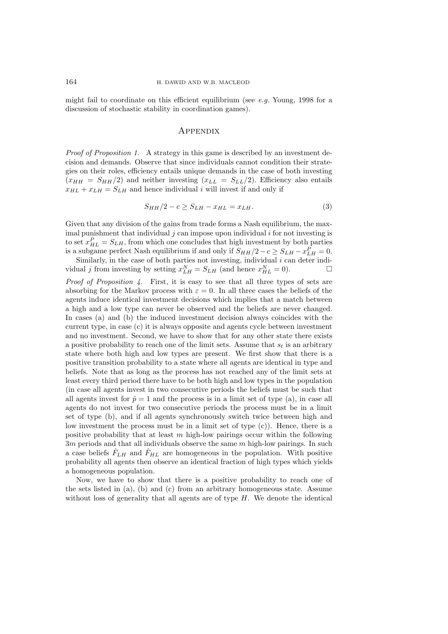might fail to coordinate on this efficient equilibrium (see *e.g.* Young, 1998 for a discussion of stochastic stability in coordination games).

## **APPENDIX**

*Proof of Proposition 1.* A strategy in this game is described by an investment decision and demands. Observe that since individuals cannot condition their strategies on their roles, efficiency entails unique demands in the case of both investing  $(x_{HH} = S_{HH}/2)$  and neither investing  $(x_{LL} = S_{LL}/2)$ . Efficiency also entails  $x_{HL} + x_{LH} = S_{LH}$  and hence individual i will invest if and only if

$$
S_{HH}/2 - c \ge S_{LH} - x_{HL} = x_{LH}.
$$
\n(3)

Given that any division of the gains from trade forms a Nash equilibrium, the maximal punishment that individual  $j$  can impose upon individual  $i$  for not investing is to set  $x_{HL}^P = S_{LH}$ , from which one concludes that high investment by both parties is a subgame perfect Nash equilibrium if and only if  $S_{HH}/2 - c \ge S_{LH} - x_{LH}^P = 0$ .

Similarly, in the case of both parties not investing, individual  $i$  can deter individual j from investing by setting  $x_{LH}^N = S_{LH}$  (and hence  $x_{HL}^N = 0$ ).

*Proof of Proposition 4.* First, it is easy to see that all three types of sets are absorbing for the Markov process with  $\varepsilon = 0$ . In all three cases the beliefs of the agents induce identical investment decisions which implies that a match between a high and a low type can never be observed and the beliefs are never changed. In cases (a) and (b) the induced investment decision always coincides with the current type, in case (c) it is always opposite and agents cycle between investment and no investment. Second, we have to show that for any other state there exists a positive probability to reach one of the limit sets. Assume that  $s_t$  is an arbitrary state where both high and low types are present. We first show that there is a positive transition probability to a state where all agents are identical in type and beliefs. Note that as long as the process has not reached any of the limit sets at least every third period there have to be both high and low types in the population (in case all agents invest in two consecutive periods the beliefs must be such that all agents invest for  $\hat{p} = 1$  and the process is in a limit set of type (a), in case all agents do not invest for two consecutive periods the process must be in a limit set of type (b), and if all agents synchronously switch twice between high and low investment the process must be in a limit set of type  $(c)$ ). Hence, there is a positive probability that at least  $m$  high-low pairings occur within the following  $3m$  periods and that all individuals observe the same m high-low pairings. In such a case beliefs  $\hat{F}_{LH}$  and  $\hat{F}_{HL}$  are homogeneous in the population. With positive probability all agents then observe an identical fraction of high types which yields a homogeneous population.

Now, we have to show that there is a positive probability to reach one of the sets listed in (a), (b) and (c) from an arbitrary homogeneous state. Assume without loss of generality that all agents are of type  $H$ . We denote the identical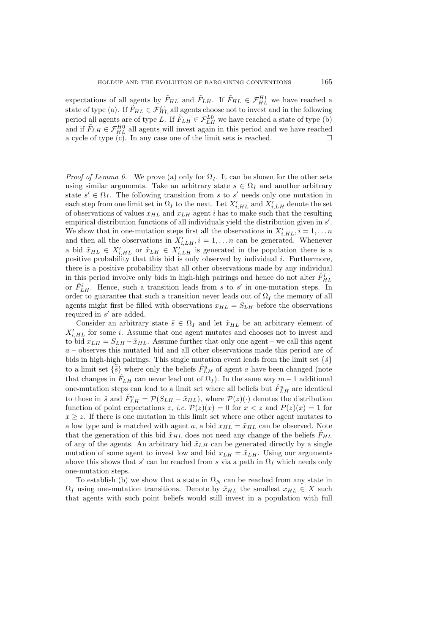expectations of all agents by  $\tilde{F}_{HL}$  and  $\tilde{F}_{LH}$ . If  $\tilde{F}_{HL} \in \mathcal{F}_{HL}^{H1}$  we have reached a state of type (a). If  $\tilde{F}_{HL} \in \mathcal{F}_{HL}^{L1}$  all agents choose not to invest and in the following period all agents are of type L. If  $\tilde{F}_{LH} \in \mathcal{F}_{LH}^{L0}$  we have reached a state of type (b) and if  $\tilde{F}_{LH} \in \mathcal{F}_{HL}^{H0}$  all agents will invest again in this period and we have reached a cycle of type  $(c)$ . In any case one of the limit sets is reached.

*Proof of Lemma 6.* We prove (a) only for  $\Omega_I$ . It can be shown for the other sets using similar arguments. Take an arbitrary state  $s \in \Omega_I$  and another arbitrary state  $s' \in \Omega_I$ . The following transition from s to s' needs only one mutation in each step from one limit set in  $\Omega_I$  to the next. Let  $X'_{i,HL}$  and  $X'_{i,LH}$  denote the set of observations of values  $x_{HL}$  and  $x_{LH}$  agent i has to make such that the resulting empirical distribution functions of all individuals yield the distribution given in  $s'$ . We show that in one-mutation steps first all the observations in  $X'_{i,HL}$ ,  $i = 1, \ldots n$ and then all the observations in  $X'_{i,LH}$ ,  $i = 1,\ldots n$  can be generated. Whenever a bid  $\tilde{x}_{HL} \in X'_{i,HL}$  or  $\tilde{x}_{LH} \in X'_{i,LL}$  is generated in the population there is a positive probability that this bid is only observed by individual  $i$ . Furthermore, there is a positive probability that all other observations made by any individual in this period involve only bids in high-high pairings and hence do not alter  $\hat{F}_{HL}^i$ or  $\hat{F}_{LH}^i$ . Hence, such a transition leads from s to s' in one-mutation steps. In order to guarantee that such a transition never leads out of  $\Omega_I$  the memory of all agents might first be filled with observations  $x_{HL} = S_{LH}$  before the observations required in  $s'$  are added.

Consider an arbitrary state  $\tilde{s} \in \Omega_I$  and let  $\tilde{x}_{HL}$  be an arbitrary element of  $X'_{i,HL}$  for some i. Assume that one agent mutates and chooses not to invest and to bid  $x_{LH} = S_{LH} - \tilde{x}_{HL}$ . Assume further that only one agent – we call this agent a – observes this mutated bid and all other observations made this period are of bids in high-high pairings. This single mutation event leads from the limit set  $\{\tilde{s}\}$ to a limit set  $\{\tilde{\tilde{s}}\}$  where only the beliefs  $\hat{F}_{LH}^a$  of agent a have been changed (note that changes in  $\hat{F}_{LH}$  can never lead out of  $\Omega_I$ ). In the same way  $m-1$  additional one-mutation steps can lead to a limit set where all beliefs but  $\hat{F}_{LH}^a$  are identical to those in  $\tilde{s}$  and  $\hat{F}_{LH}^a = \mathcal{P}(S_{LH} - \tilde{x}_{HL})$ , where  $\mathcal{P}(z)(\cdot)$  denotes the distribution function of point expectations z, *i.e.*  $P(z)(x) = 0$  for  $x < z$  and  $P(z)(x) = 1$  for  $x \geq z$ . If there is one mutation in this limit set where one other agent mutates to a low type and is matched with agent a, a bid  $x_{HL} = \tilde{x}_{HL}$  can be observed. Note that the generation of this bid  $\tilde{x}_{HL}$  does not need any change of the beliefs  $\tilde{F}_{HL}$ of any of the agents. An arbitrary bid  $\tilde{x}_{LH}$  can be generated directly by a single mutation of some agent to invest low and bid  $x_{LH} = \tilde{x}_{LH}$ . Using our arguments above this shows that s' can be reached from s via a path in  $\Omega_I$  which needs only one-mutation steps.

To establish (b) we show that a state in  $\Omega_N$  can be reached from any state in  $\Omega_I$  using one-mutation transitions. Denote by  $\bar{x}_{HL}$  the smallest  $x_{HL} \in X$  such that agents with such point beliefs would still invest in a population with full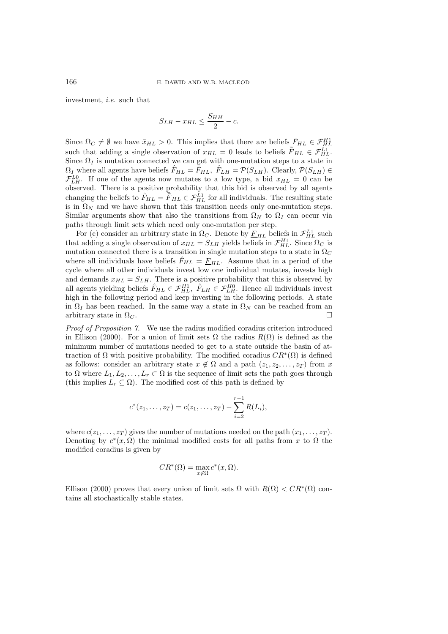investment, *i.e.* such that

$$
S_{LH} - x_{HL} \le \frac{S_{HH}}{2} - c.
$$

Since  $\Omega_C \neq \emptyset$  we have  $\bar{x}_{HL} > 0$ . This implies that there are beliefs  $\bar{F}_{HL} \in \mathcal{F}_{HL}^{H1}$ such that adding a single observation of  $x_{HL} = 0$  leads to beliefs  $\bar{F}_{HL} \in \mathcal{F}_{HL}^{LL}$ . Since  $\Omega_I$  is mutation connected we can get with one-mutation steps to a state in  $\Omega_I$  where all agents have beliefs  $\hat{F}_{HL} = \bar{F}_{HL}$ ,  $\hat{F}_{LH} = \mathcal{P}(S_{LH})$ . Clearly,  $\mathcal{P}(S_{LH}) \in$  $\mathcal{F}_{LH}^{L0}$ . If one of the agents now mutates to a low type, a bid  $x_{HL} = 0$  can be observed. There is a positive probability that this bid is observed by all agents changing the beliefs to  $\hat{F}_{HL} = \overline{\overline{F}}_{HL} \in \mathcal{F}_{HL}^{\perp 1}$  for all individuals. The resulting state is in  $\Omega_N$  and we have shown that this transition needs only one-mutation steps. Similar arguments show that also the transitions from  $\Omega_N$  to  $\Omega_I$  can occur via paths through limit sets which need only one-mutation per step.

For (c) consider an arbitrary state in  $\Omega_C$ . Denote by  $\underline{F}_{HL}$  beliefs in  $\mathcal{F}_{HL}^{L1}$  such that adding a single observation of  $x_{HL} = S_{LH}$  yields beliefs in  $\mathcal{F}_{HL}^{H1}$ . Since  $\Omega_C$  is mutation connected there is a transition in single mutation steps to a state in  $\Omega_C$ where all individuals have beliefs  $\hat{F}_{HL} = \underline{F}_{HL}$ . Assume that in a period of the cycle where all other individuals invest low one individual mutates, invests high and demands  $x_{HL} = S_{LH}$ . There is a positive probability that this is observed by all agents yielding beliefs  $\hat{F}_{HL} \in \mathcal{F}_{HL}^{H1}$ ,  $\hat{F}_{LH} \in \mathcal{F}_{LH}^{H0}$ . Hence all individuals invest high in the following period and keep investing in the following periods. A state in  $\Omega_I$  has been reached. In the same way a state in  $\Omega_N$  can be reached from an arbitrary state in  $\Omega_C$ .

*Proof of Proposition 7.* We use the radius modified coradius criterion introduced in Ellison (2000). For a union of limit sets  $\Omega$  the radius  $R(\Omega)$  is defined as the minimum number of mutations needed to get to a state outside the basin of attraction of Ω with positive probability. The modified coradius  $CR^*(\Omega)$  is defined as follows: consider an arbitrary state  $x \notin \Omega$  and a path  $(z_1, z_2, \ldots, z_T)$  from x to  $\Omega$  where  $L_1, L_2, \ldots, L_r \subset \Omega$  is the sequence of limit sets the path goes through (this implies  $L_r \subseteq \Omega$ ). The modified cost of this path is defined by

$$
c^*(z_1,...,z_T) = c(z_1,...,z_T) - \sum_{i=2}^{r-1} R(L_i),
$$

where  $c(z_1,...,z_T)$  gives the number of mutations needed on the path  $(x_1,...,z_T)$ . Denoting by  $c^*(x, \Omega)$  the minimal modified costs for all paths from x to  $\Omega$  the modified coradius is given by

$$
CR^*(\Omega) = \max_{x \notin \Omega} c^*(x, \Omega).
$$

Ellison (2000) proves that every union of limit sets  $\Omega$  with  $R(\Omega) < CR^*(\Omega)$  contains all stochastically stable states.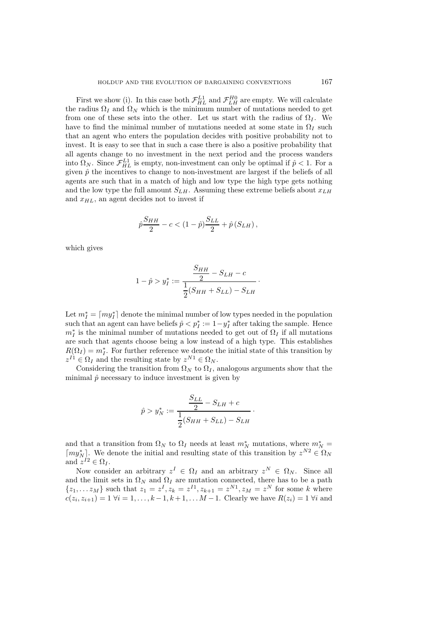First we show (i). In this case both  $\mathcal{F}_{HL}^{L1}$  and  $\mathcal{F}_{LH}^{H0}$  are empty. We will calculate the radius  $\Omega_I$  and  $\Omega_N$  which is the minimum number of mutations needed to get from one of these sets into the other. Let us start with the radius of  $\Omega_I$ . We have to find the minimal number of mutations needed at some state in  $\Omega_I$  such that an agent who enters the population decides with positive probability not to invest. It is easy to see that in such a case there is also a positive probability that all agents change to no investment in the next period and the process wanders into  $\Omega_N$ . Since  $\mathcal{F}_{HL}^{L1}$  is empty, non-investment can only be optimal if  $\hat{p} < 1$ . For a given  $\hat{p}$  the incentives to change to non-investment are largest if the beliefs of all agents are such that in a match of high and low type the high type gets nothing and the low type the full amount  $S_{LH}$ . Assuming these extreme beliefs about  $x_{LH}$ and  $x_{HL}$ , an agent decides not to invest if

$$
\hat{p}\frac{S_{HH}}{2}-c<(1-\hat{p})\frac{S_{LL}}{2}+\hat{p}\left(S_{LH}\right),
$$

which gives

$$
1 - \hat{p} > y_I^* := \frac{\frac{S_{HH}}{2} - S_{LH} - c}{\frac{1}{2}(S_{HH} + S_{LL}) - S_{LH}}.
$$

Let  $m_I^* = \lceil my_I^* \rceil$  denote the minimal number of low types needed in the population such that an agent can have beliefs  $\hat{p} < p_I^* := 1 - y_I^*$  after taking the sample. Hence  $m_I^*$  is the minimal number of mutations needed to get out of  $\Omega_I$  if all mutations are such that agents choose being a low instead of a high type. This establishes  $R(\Omega_I) = m_I^*$ . For further reference we denote the initial state of this transition by  $z^{I1} \in \Omega_I$  and the resulting state by  $z^{N1} \in \Omega_N$ .

Considering the transition from  $\Omega_N$  to  $\Omega_I$ , analogous arguments show that the minimal  $\hat{p}$  necessary to induce investment is given by

$$
\hat{p} > y_N^* := \frac{\frac{S_{LL}}{2} - S_{LH} + c}{\frac{1}{2}(S_{HH} + S_{LL}) - S_{LH}}.
$$

and that a transition from  $\Omega_N$  to  $\Omega_I$  needs at least  $m_N^*$  mutations, where  $m_N^* =$  $\lceil my_N^* \rceil$ . We denote the initial and resulting state of this transition by  $z^{N2} \in \Omega_N$ and  $z^{I2} \in \Omega_I$ .

Now consider an arbitrary  $z^I \in \Omega_I$  and an arbitrary  $z^N \in \Omega_N$ . Since all and the limit sets in  $\Omega_N$  and  $\Omega_I$  are mutation connected, there has to be a path  $\{z_1,...z_M\}$  such that  $z_1 = z^I, z_k = z^{I1}, z_{k+1} = z^{N1}, z_M = z^N$  for some k where  $c(z_i, z_{i+1})=1 \ \forall i = 1,\ldots,k-1, k+1,\ldots M-1.$  Clearly we have  $R(z_i)=1 \ \forall i$  and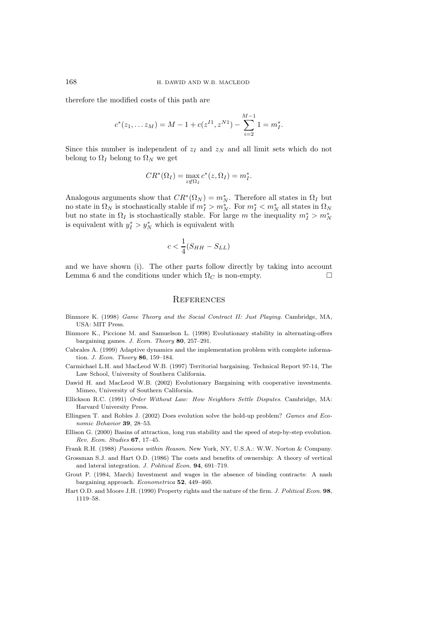therefore the modified costs of this path are

$$
c^{*}(z_1,... z_M) = M - 1 + c(z^{I1}, z^{N1}) - \sum_{i=2}^{M-1} 1 = m_I^*.
$$

Since this number is independent of  $z_I$  and  $z_N$  and all limit sets which do not belong to  $\Omega_I$  belong to  $\Omega_N$  we get

$$
CR^*(\Omega_I) = \max_{z \notin \Omega_I} c^*(z, \Omega_I) = m_I^*.
$$

Analogous arguments show that  $CR^*(\Omega_N) = m_N^*$ . Therefore all states in  $\Omega_I$  but no state in  $\Omega_N$  is stochastically stable if  $m_I^* > m_N^*$ . For  $m_I^* < m_N^*$  all states in  $\Omega_N$ but no state in  $\Omega_I$  is stochastically stable. For large m the inequality  $m_I^* > m_N^*$ is equivalent with  $y_I^* > y_N^*$  which is equivalent with

$$
c < \frac{1}{4}(S_{HH} - S_{LL})
$$

and we have shown (i). The other parts follow directly by taking into account Lemma 6 and the conditions under which  $\Omega_C$  is non-empty.

## **REFERENCES**

- Binmore K. (1998) Game Theory and the Social Contract II: Just Playing. Cambridge, MA, USA: MIT Press.
- Binmore K., Piccione M. and Samuelson L. (1998) Evolutionary stability in alternating-offers bargaining games. J. Econ. Theory **80**, 257–291.
- Cabrales A. (1999) Adaptive dynamics and the implementation problem with complete information. J. Econ. Theory **86**, 159–184.

Carmichael L.H. and MacLeod W.B. (1997) Territorial bargaining. Technical Report 97-14, The Law School, University of Southern California.

Dawid H. and MacLeod W.B. (2002) Evolutionary Bargaining with cooperative investments. Mimeo, University of Southern California.

- Ellickson R.C. (1991) Order Without Law: How Neighbors Settle Disputes. Cambridge, MA: Harvard University Press.
- Ellingsen T. and Robles J. (2002) Does evolution solve the hold-up problem? Games and Economic Behavior **39**, 28–53.
- Ellison G. (2000) Basins of attraction, long run stability and the speed of step-by-step evolution. Rev. Econ. Studies **67**, 17–45.

Frank R.H. (1988) Passions within Reason. New York, NY, U.S.A.: W.W. Norton & Company.

Grossman S.J. and Hart O.D. (1986) The costs and benefits of ownership: A theory of vertical and lateral integration. J. Political Econ. **94**, 691–719.

Grout P. (1984, March) Investment and wages in the absence of binding contracts: A nash bargaining approach. Econometrica **52**, 449–460.

Hart O.D. and Moore J.H. (1990) Property rights and the nature of the firm. J. Political Econ. **98**, 1119–58.